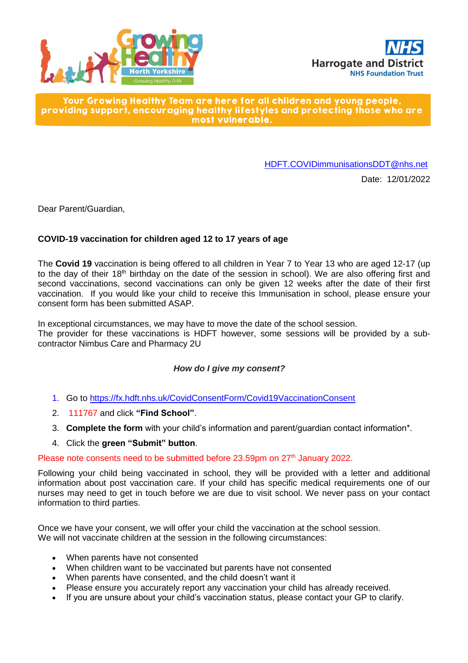



Your Growing Healthy Team are here for all children and young people, providing support, encouraging healthy lifestyles and protecting those who are most vulnerable.

[HDFT.COVIDimmunisationsDDT@nhs.net](mailto:HDFT.COVIDimmunisationsDDT@nhs.net)

Date: 12/01/2022

Dear Parent/Guardian,

# **COVID-19 vaccination for children aged 12 to 17 years of age**

The **Covid 19** vaccination is being offered to all children in Year 7 to Year 13 who are aged 12-17 (up to the day of their 18<sup>th</sup> birthday on the date of the session in school). We are also offering first and second vaccinations, second vaccinations can only be given 12 weeks after the date of their first vaccination. If you would like your child to receive this Immunisation in school, please ensure your consent form has been submitted ASAP.

In exceptional circumstances, we may have to move the date of the school session.

The provider for these vaccinations is HDFT however, some sessions will be provided by a subcontractor Nimbus Care and Pharmacy 2U

### *How do I give my consent?*

- 1. Go to<https://fx.hdft.nhs.uk/CovidConsentForm/Covid19VaccinationConsent>
- 2. 111767 and click **"Find School"**.
- 3. **Complete the form** with your child's information and parent/guardian contact information\*.
- 4. Click the **green "Submit" button**.

#### Please note consents need to be submitted before 23.59pm on 27<sup>th</sup> January 2022.

Following your child being vaccinated in school, they will be provided with a letter and additional information about post vaccination care. If your child has specific medical requirements one of our nurses may need to get in touch before we are due to visit school. We never pass on your contact information to third parties.

Once we have your consent, we will offer your child the vaccination at the school session. We will not vaccinate children at the session in the following circumstances:

- When parents have not consented
- When children want to be vaccinated but parents have not consented
- When parents have consented, and the child doesn't want it
- Please ensure you accurately report any vaccination your child has already received.
- If you are unsure about your child's vaccination status, please contact your GP to clarify.